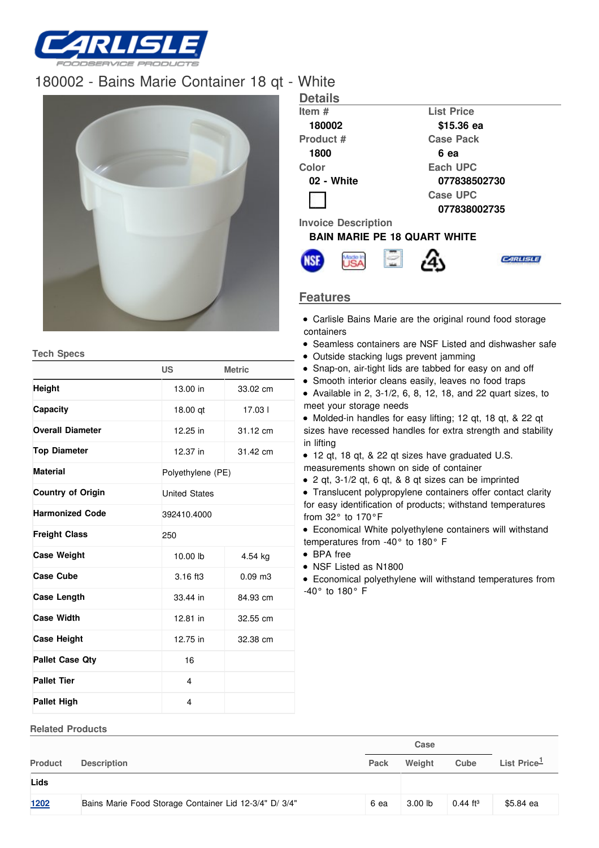

## [180002](/) - Bains Marie Container 18 qt - Whit



**Tech Specs**

**Related Products**

|                          | <b>US</b>            | <b>Metric</b>     |  |  |  |
|--------------------------|----------------------|-------------------|--|--|--|
| Height                   | 13.00 in             | 33.02 cm          |  |  |  |
| Capacity                 | 18.00 gt             | 17.031            |  |  |  |
| <b>Overall Diameter</b>  | 12.25 in             | 31.12 cm          |  |  |  |
| <b>Top Diameter</b>      | 12.37 in             | 31.42 cm          |  |  |  |
| <b>Material</b>          |                      | Polyethylene (PE) |  |  |  |
| <b>Country of Origin</b> | <b>United States</b> |                   |  |  |  |
| <b>Harmonized Code</b>   | 392410.4000          |                   |  |  |  |
| <b>Freight Class</b>     | 250                  |                   |  |  |  |
| <b>Case Weight</b>       | 10.00 lb             | 4.54 kg           |  |  |  |
| <b>Case Cube</b>         | $3.16$ ft $3$        | $0.09$ m $3$      |  |  |  |
| <b>Case Length</b>       | 33.44 in             | 84.93 cm          |  |  |  |
| <b>Case Width</b>        | 12.81 in             | 32.55 cm          |  |  |  |
| <b>Case Height</b>       | 12.75 in             | 32.38 cm          |  |  |  |
| <b>Pallet Case Qty</b>   | 16                   |                   |  |  |  |
| <b>Pallet Tier</b>       | 4                    |                   |  |  |  |
| Pallet High              | 4                    |                   |  |  |  |

| · vvnite                   |                                     |  |
|----------------------------|-------------------------------------|--|
| <b>Details</b>             |                                     |  |
| Item #                     | <b>List Price</b>                   |  |
| 180002                     | \$15.36 ea                          |  |
| Product #                  | <b>Case Pack</b>                    |  |
| 1800                       | 6 ea                                |  |
| Color                      | Each UPC                            |  |
| 02 - White                 | 077838502730                        |  |
|                            | <b>Case UPC</b>                     |  |
|                            | 077838002735                        |  |
| <b>Invoice Description</b> |                                     |  |
|                            | <b>BAIN MARIE PE 18 QUART WHITE</b> |  |



## **Features**

- Carlisle Bains Marie are the original round food storage containers
- Seamless containers are NSF Listed and dishwasher safe
- Outside stacking lugs prevent jamming
- Snap-on, air-tight lids are tabbed for easy on and off
- Smooth interior cleans easily, leaves no food traps
- Available in 2,  $3-1/2$ , 6, 8, 12, 18, and 22 quart sizes, to meet your storage needs

Molded-in handles for easy lifting; 12 qt, 18 qt, & 22 qt sizes have recessed handles for extra strength and stability in lifting

12 qt, 18 qt, & 22 qt sizes have graduated U.S.

measurements shown on side of container

2 qt, 3-1/2 qt, 6 qt, & 8 qt sizes can be imprinted

Translucent polypropylene containers offer contact clarity for easy identification of products; withstand temperatures from 32° to 170°F

Economical White polyethylene containers will withstand temperatures from -40° to 180° F

- BPA free
- NSF Listed as N1800

Economical polyethylene will withstand temperatures from -40° to 180° F

|                |                                                        | Case |           |               |                |  |
|----------------|--------------------------------------------------------|------|-----------|---------------|----------------|--|
| <b>Product</b> | <b>Description</b>                                     | Pack | Weight    | Cube          | List Price $1$ |  |
| Lids           |                                                        |      |           |               |                |  |
| <u>1202</u>    | Bains Marie Food Storage Container Lid 12-3/4" D/ 3/4" | 6 ea | $3.00$ lb | $0.44$ ft $3$ | \$5.84 ea      |  |